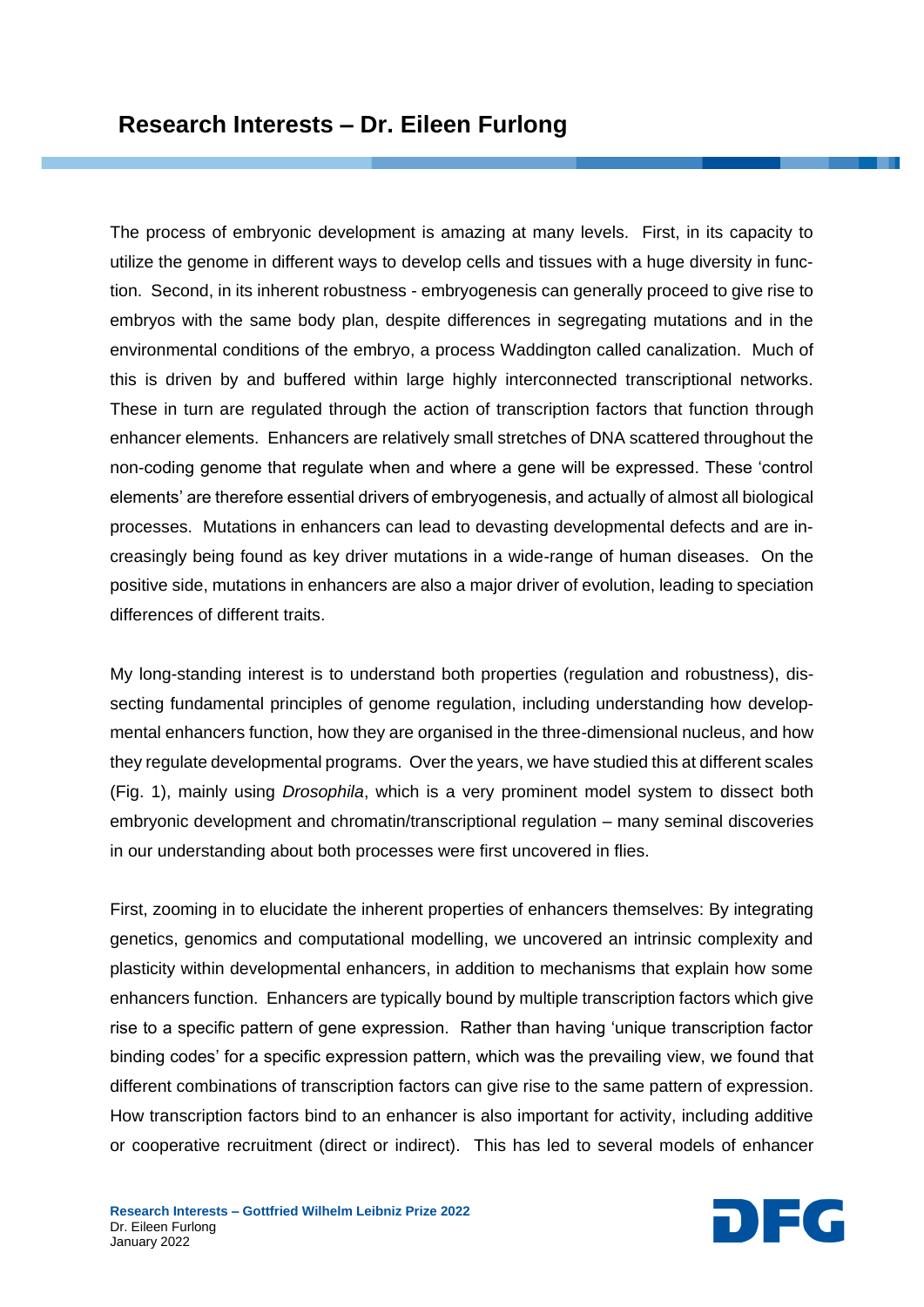The process of embryonic development is amazing at many levels. First, in its capacity to utilize the genome in different ways to develop cells and tissues with a huge diversity in function. Second, in its inherent robustness - embryogenesis can generally proceed to give rise to embryos with the same body plan, despite differences in segregating mutations and in the environmental conditions of the embryo, a process Waddington called canalization. Much of this is driven by and buffered within large highly interconnected transcriptional networks. These in turn are regulated through the action of transcription factors that function through enhancer elements. Enhancers are relatively small stretches of DNA scattered throughout the non-coding genome that regulate when and where a gene will be expressed. These 'control elements' are therefore essential drivers of embryogenesis, and actually of almost all biological processes. Mutations in enhancers can lead to devasting developmental defects and are increasingly being found as key driver mutations in a wide-range of human diseases. On the positive side, mutations in enhancers are also a major driver of evolution, leading to speciation differences of different traits.

My long-standing interest is to understand both properties (regulation and robustness), dissecting fundamental principles of genome regulation, including understanding how developmental enhancers function, how they are organised in the three-dimensional nucleus, and how they regulate developmental programs. Over the years, we have studied this at different scales (Fig. 1), mainly using *Drosophila*, which is a very prominent model system to dissect both embryonic development and chromatin/transcriptional regulation – many seminal discoveries in our understanding about both processes were first uncovered in flies.

First, zooming in to elucidate the inherent properties of enhancers themselves: By integrating genetics, genomics and computational modelling, we uncovered an intrinsic complexity and plasticity within developmental enhancers, in addition to mechanisms that explain how some enhancers function. Enhancers are typically bound by multiple transcription factors which give rise to a specific pattern of gene expression. Rather than having 'unique transcription factor binding codes' for a specific expression pattern, which was the prevailing view, we found that different combinations of transcription factors can give rise to the same pattern of expression. How transcription factors bind to an enhancer is also important for activity, including additive or cooperative recruitment (direct or indirect). This has led to several models of enhancer

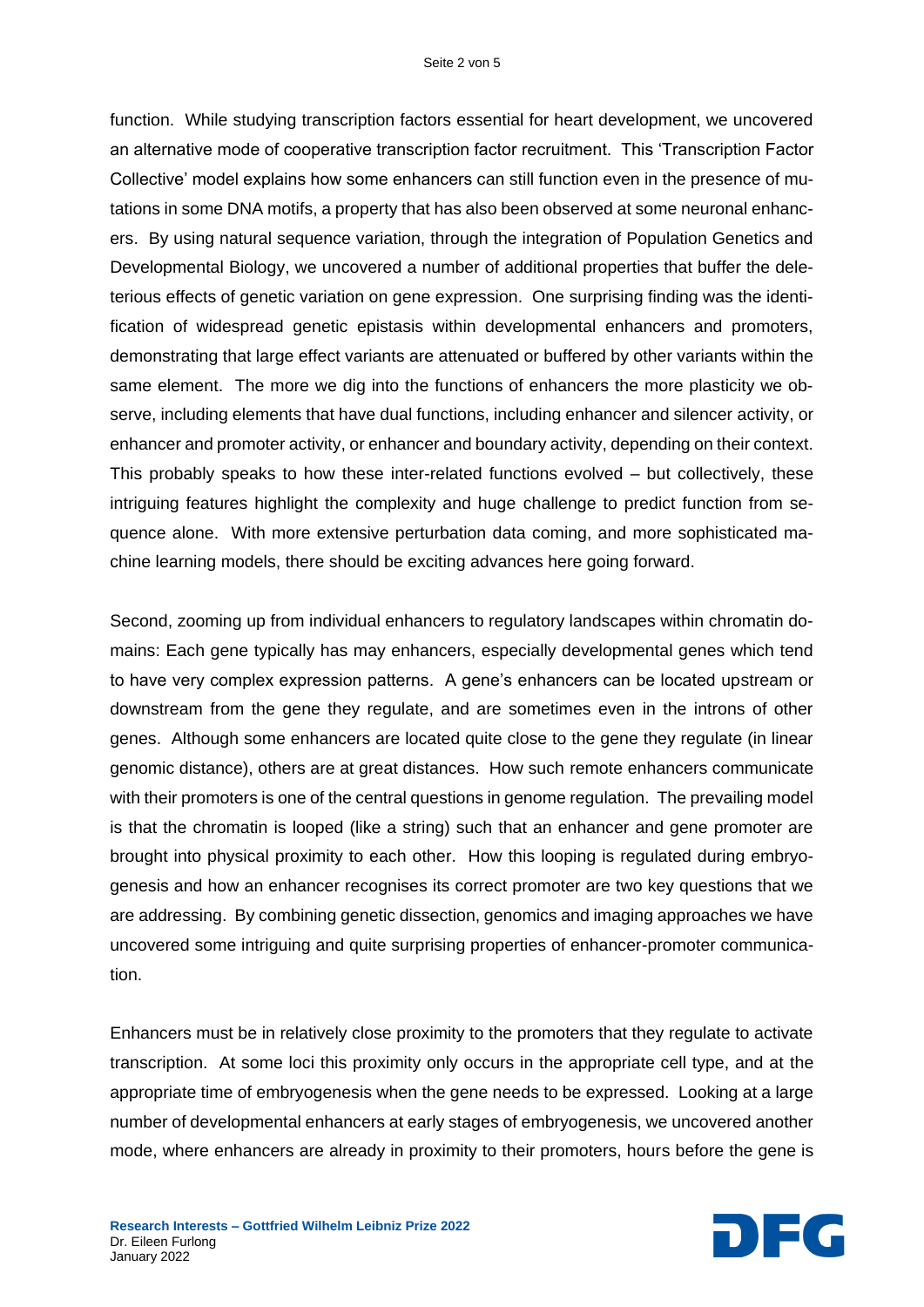function. While studying transcription factors essential for heart development, we uncovered an alternative mode of cooperative transcription factor recruitment. This 'Transcription Factor Collective' model explains how some enhancers can still function even in the presence of mutations in some DNA motifs, a property that has also been observed at some neuronal enhancers. By using natural sequence variation, through the integration of Population Genetics and Developmental Biology, we uncovered a number of additional properties that buffer the deleterious effects of genetic variation on gene expression. One surprising finding was the identification of widespread genetic epistasis within developmental enhancers and promoters, demonstrating that large effect variants are attenuated or buffered by other variants within the same element. The more we dig into the functions of enhancers the more plasticity we observe, including elements that have dual functions, including enhancer and silencer activity, or enhancer and promoter activity, or enhancer and boundary activity, depending on their context. This probably speaks to how these inter-related functions evolved – but collectively, these intriguing features highlight the complexity and huge challenge to predict function from sequence alone. With more extensive perturbation data coming, and more sophisticated machine learning models, there should be exciting advances here going forward.

Second, zooming up from individual enhancers to regulatory landscapes within chromatin domains: Each gene typically has may enhancers, especially developmental genes which tend to have very complex expression patterns. A gene's enhancers can be located upstream or downstream from the gene they regulate, and are sometimes even in the introns of other genes. Although some enhancers are located quite close to the gene they regulate (in linear genomic distance), others are at great distances. How such remote enhancers communicate with their promoters is one of the central questions in genome regulation. The prevailing model is that the chromatin is looped (like a string) such that an enhancer and gene promoter are brought into physical proximity to each other. How this looping is regulated during embryogenesis and how an enhancer recognises its correct promoter are two key questions that we are addressing. By combining genetic dissection, genomics and imaging approaches we have uncovered some intriguing and quite surprising properties of enhancer-promoter communication.

Enhancers must be in relatively close proximity to the promoters that they regulate to activate transcription. At some loci this proximity only occurs in the appropriate cell type, and at the appropriate time of embryogenesis when the gene needs to be expressed. Looking at a large number of developmental enhancers at early stages of embryogenesis, we uncovered another mode, where enhancers are already in proximity to their promoters, hours before the gene is



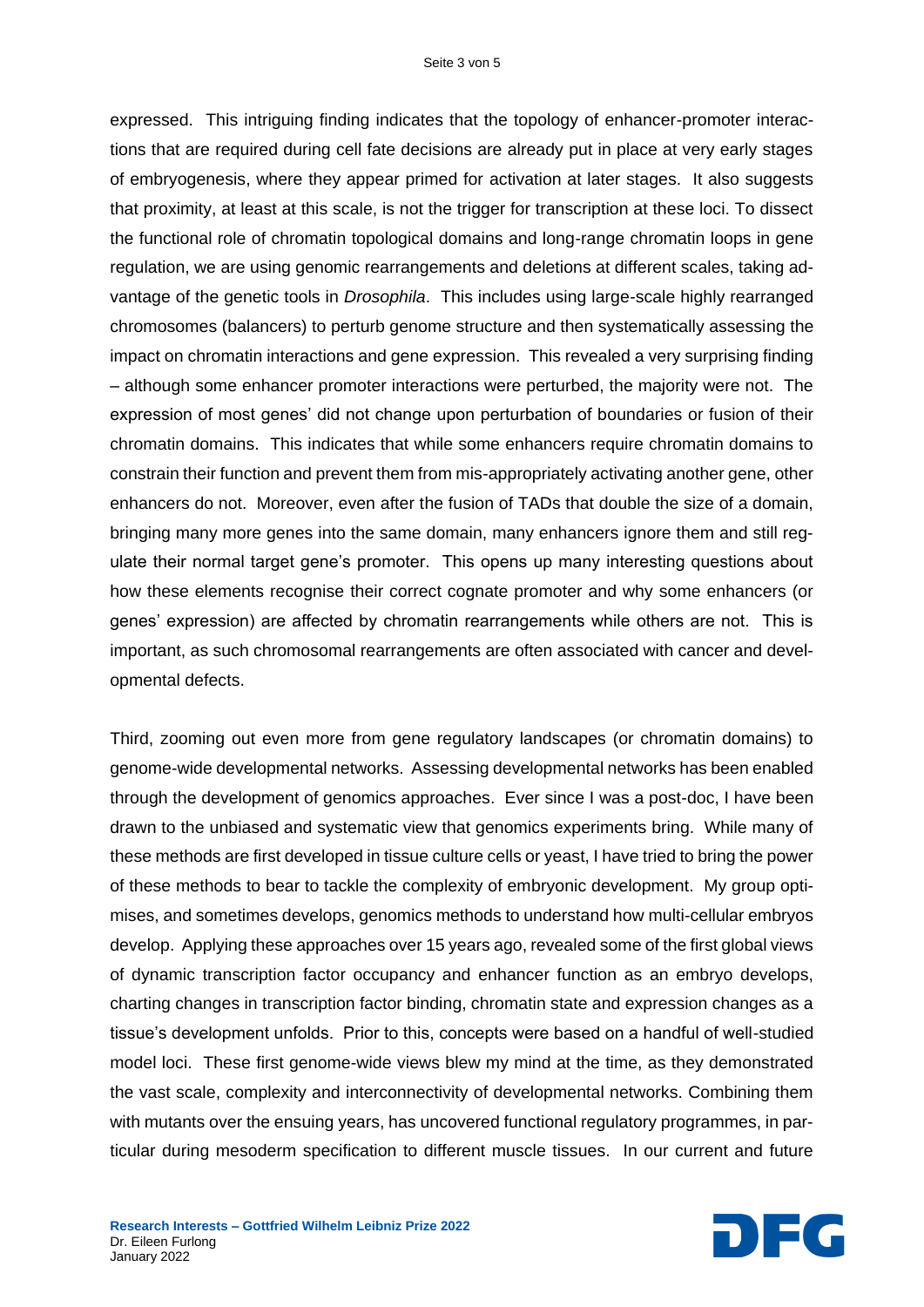expressed. This intriguing finding indicates that the topology of enhancer-promoter interactions that are required during cell fate decisions are already put in place at very early stages of embryogenesis, where they appear primed for activation at later stages. It also suggests that proximity, at least at this scale, is not the trigger for transcription at these loci. To dissect the functional role of chromatin topological domains and long-range chromatin loops in gene regulation, we are using genomic rearrangements and deletions at different scales, taking advantage of the genetic tools in *Drosophila*. This includes using large-scale highly rearranged chromosomes (balancers) to perturb genome structure and then systematically assessing the impact on chromatin interactions and gene expression. This revealed a very surprising finding – although some enhancer promoter interactions were perturbed, the majority were not. The expression of most genes' did not change upon perturbation of boundaries or fusion of their chromatin domains. This indicates that while some enhancers require chromatin domains to constrain their function and prevent them from mis-appropriately activating another gene, other enhancers do not. Moreover, even after the fusion of TADs that double the size of a domain, bringing many more genes into the same domain, many enhancers ignore them and still regulate their normal target gene's promoter. This opens up many interesting questions about how these elements recognise their correct cognate promoter and why some enhancers (or genes' expression) are affected by chromatin rearrangements while others are not. This is important, as such chromosomal rearrangements are often associated with cancer and developmental defects.

Third, zooming out even more from gene regulatory landscapes (or chromatin domains) to genome-wide developmental networks. Assessing developmental networks has been enabled through the development of genomics approaches. Ever since I was a post-doc, I have been drawn to the unbiased and systematic view that genomics experiments bring. While many of these methods are first developed in tissue culture cells or yeast, I have tried to bring the power of these methods to bear to tackle the complexity of embryonic development. My group optimises, and sometimes develops, genomics methods to understand how multi-cellular embryos develop. Applying these approaches over 15 years ago, revealed some of the first global views of dynamic transcription factor occupancy and enhancer function as an embryo develops, charting changes in transcription factor binding, chromatin state and expression changes as a tissue's development unfolds. Prior to this, concepts were based on a handful of well-studied model loci. These first genome-wide views blew my mind at the time, as they demonstrated the vast scale, complexity and interconnectivity of developmental networks. Combining them with mutants over the ensuing years, has uncovered functional regulatory programmes, in particular during mesoderm specification to different muscle tissues. In our current and future

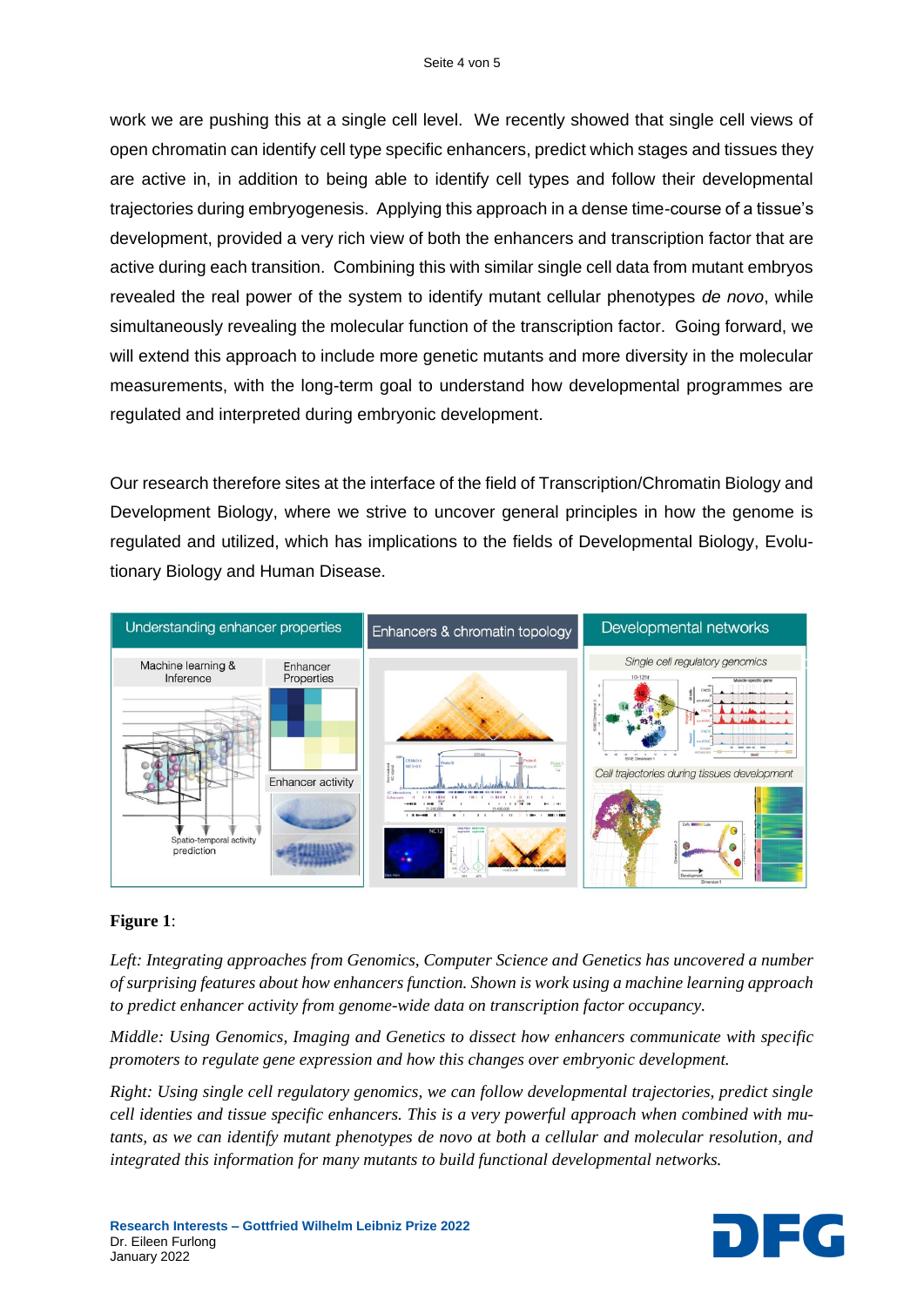work we are pushing this at a single cell level. We recently showed that single cell views of open chromatin can identify cell type specific enhancers, predict which stages and tissues they are active in, in addition to being able to identify cell types and follow their developmental trajectories during embryogenesis. Applying this approach in a dense time-course of a tissue's development, provided a very rich view of both the enhancers and transcription factor that are active during each transition. Combining this with similar single cell data from mutant embryos revealed the real power of the system to identify mutant cellular phenotypes *de novo*, while simultaneously revealing the molecular function of the transcription factor. Going forward, we will extend this approach to include more genetic mutants and more diversity in the molecular measurements, with the long-term goal to understand how developmental programmes are regulated and interpreted during embryonic development.

Our research therefore sites at the interface of the field of Transcription/Chromatin Biology and Development Biology, where we strive to uncover general principles in how the genome is regulated and utilized, which has implications to the fields of Developmental Biology, Evolutionary Biology and Human Disease.



## **Figure 1**:

*Left: Integrating approaches from Genomics, Computer Science and Genetics has uncovered a number of surprising features about how enhancers function. Shown is work using a machine learning approach to predict enhancer activity from genome-wide data on transcription factor occupancy.*

*Middle: Using Genomics, Imaging and Genetics to dissect how enhancers communicate with specific promoters to regulate gene expression and how this changes over embryonic development.*

*Right: Using single cell regulatory genomics, we can follow developmental trajectories, predict single cell identies and tissue specific enhancers. This is a very powerful approach when combined with mutants, as we can identify mutant phenotypes de novo at both a cellular and molecular resolution, and integrated this information for many mutants to build functional developmental networks.*